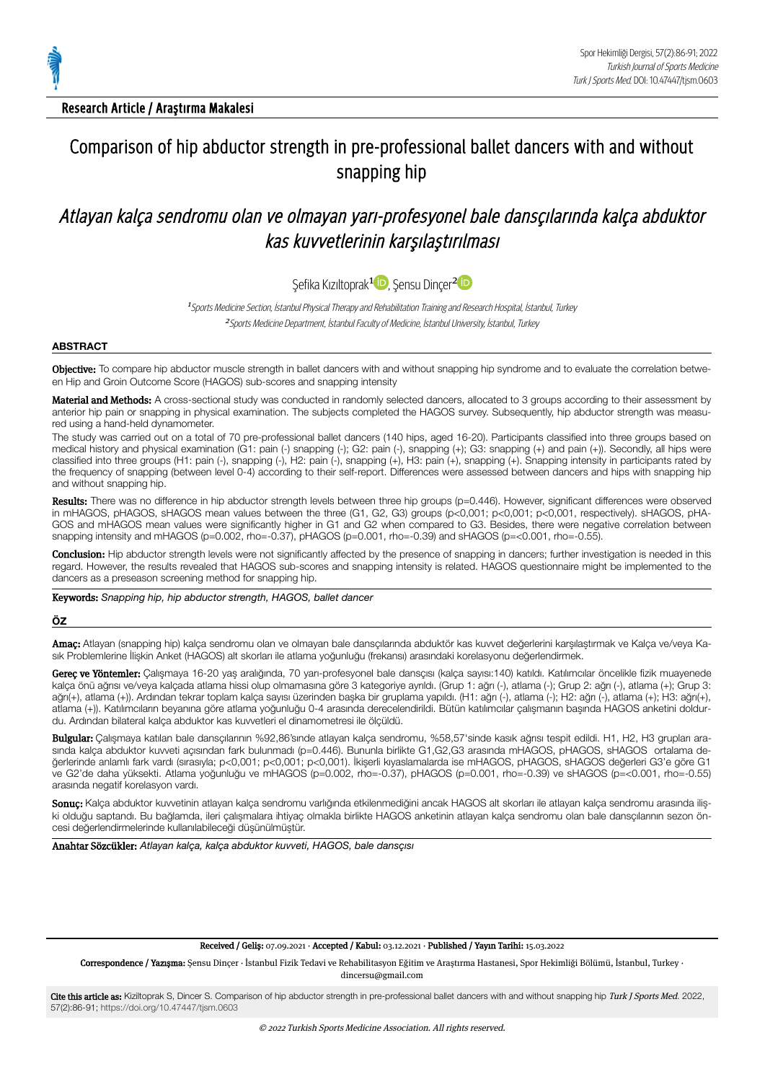

# Comparison of hip abductor strength in pre-professional ballet dancers with and without snapping hip

## Atlayan kalça sendromu olan ve olmayan yarı-profesyonel bale dansçılarında kalça abduktor kas kuvvetlerinin karşılaştırılması

Şefika Kızıltoprak<sup>[1](https://orcid.org/0000-0002-3439-8665)1</sup>D, Şensu Dinçer<sup>[2](https://orcid.org/0000-0003-1425-2543)</sup>

<sup>1</sup>Sports Medicine Section, İstanbul Physical Therapy and Rehabilitation Training and Research Hospital, İstanbul, Turkey <sup>2</sup> Sports Medicine Department, İstanbul Faculty of Medicine, İstanbul University, İstanbul, Turkey

#### **ABSTRACT**

Objective: To compare hip abductor muscle strength in ballet dancers with and without snapping hip syndrome and to evaluate the correlation between Hip and Groin Outcome Score (HAGOS) sub-scores and snapping intensity

Material and Methods: A cross-sectional study was conducted in randomly selected dancers, allocated to 3 groups according to their assessment by anterior hip pain or snapping in physical examination. The subjects completed the HAGOS survey. Subsequently, hip abductor strength was measured using a hand-held dynamometer.

The study was carried out on a total of 70 pre-professional ballet dancers (140 hips, aged 16-20). Participants classified into three groups based on medical history and physical examination (G1: pain (-) snapping (-); G2: pain (-), snapping (+); G3: snapping (+) and pain (+)). Secondly, all hips were classified into three groups (H1: pain (-), snapping (-), H2: pain (-), snapping (+), H3: pain (+), snapping (+). Snapping intensity in participants rated by the frequency of snapping (between level 0-4) according to their self-report. Differences were assessed between dancers and hips with snapping hip and without snapping hip.

Results: There was no difference in hip abductor strength levels between three hip groups (p=0.446). However, significant differences were observed in mHAGOS, pHAGOS, sHAGOS mean values between the three (G1, G2, G3) groups (p<0,001; p<0,001; p<0,001, respectively). sHAGOS, pHA‐ GOS and mHAGOS mean values were significantly higher in G1 and G2 when compared to G3. Besides, there were negative correlation between snapping intensity and mHAGOS (p=0.002, rho=-0.37), pHAGOS (p=0.001, rho=-0.39) and sHAGOS (p=<0.001, rho=-0.55).

Conclusion: Hip abductor strength levels were not significantly affected by the presence of snapping in dancers; further investigation is needed in this regard. However, the results revealed that HAGOS sub-scores and snapping intensity is related. HAGOS questionnaire might be implemented to the dancers as a preseason screening method for snapping hip.

Keywords: *Snapping hip, hip abductor strength, HAGOS, ballet dancer*

#### **ÖZ**

Amaç: Atlayan (snapping hip) kalça sendromu olan ve olmayan bale dansçılarında abduktör kas kuvvet değerlerini karşılaştırmak ve Kalça ve/veya Ka‐ sık Problemlerine İlişkin Anket (HAGOS) alt skorları ile atlama yoğunluğu (frekansı) arasındaki korelasyonu değerlendirmek.

Gereç ve Yöntemler: Çalışmaya 16-20 yaş aralığında, 70 yarı-profesyonel bale dansçısı (kalça sayısı:140) katıldı. Katılımcılar öncelikle fizik muayenede kalça önü ağrısı ve/veya kalçada atlama hissi olup olmamasına göre 3 kategoriye ayrıldı. (Grup 1: ağrı (-), atlama (-); Grup 2: ağrı (-), atlama (+); Grup 3: ağrı(+), atlama (+)). Ardından tekrar toplam kalça sayısı üzerinden başka bir gruplama yapıldı. (H1: ağrı (-), atlama (-); H2: ağrı (-), atlama (+); H3: ağrı(+), atlama (+)). Katılımcıların beyanına göre atlama yoğunluğu 0-4 arasında derecelendirildi. Bütün katılımcılar çalışmanın başında HAGOS anketini doldur‐ du. Ardından bilateral kalça abduktor kas kuvvetleri el dinamometresi ile ölçüldü.

Bulgular: Çalışmaya katılan bale dansçılarının %92,86'sınde atlayan kalça sendromu, %58,57'sinde kasık ağrısı tespit edildi. H1, H2, H3 grupları arasında kalça abduktor kuvveti açısından fark bulunmadı (p=0.446). Bununla birlikte G1,G2,G3 arasında mHAGOS, pHAGOS, sHAGOS ortalama değerlerinde anlamlı fark vardı (sırasıyla; p<0,001; p<0,001; p<0,001). İkişerli kıyaslamalarda ise mHAGOS, pHAGOS, sHAGOS değerleri G3'e göre G1 ve G2'de daha yüksekti. Atlama yoğunluğu ve mHAGOS (p=0.002, rho=-0.37), pHAGOS (p=0.001, rho=-0.39) ve sHAGOS (p=<0.001, rho=-0.55) arasında negatif korelasyon vardı.

Sonuç: Kalça abduktor kuvvetinin atlayan kalça sendromu varlığında etkilenmediğini ancak HAGOS alt skorları ile atlayan kalça sendromu arasında ilişki olduğu saptandı. Bu bağlamda, ileri çalışmalara ihtiyaç olmakla birlikte HAGOS anketinin atlayan kalça sendromu olan bale dansçılarının sezon öncesi değerlendirmelerinde kullanılabileceği düşünülmüştür.

Anahtar Sözcükler: *Atlayan kalça, kalça abduktor kuvveti, HAGOS, bale dansçısı*

#### Received / Geliş: 07.09.2021 · Accepted / Kabul: 03.12.2021 · Published / Yayın Tarihi: 15.03.2022

Correspondence / Yazışma: Şensu Dinçer · İstanbul Fizik Tedavi ve Rehabilitasyon Eğitim ve Araştırma Hastanesi, Spor Hekimliği Bölümü, İstanbul, Turkey · dincersu@gmail.com

Cite this article as: Kiziltoprak S, Dincer S. Comparison of hip abductor strength in pre-professional ballet dancers with and without snapping hip Turk J Sports Med. 2022, 57(2):86-91; <https://doi.org/10.47447/tjsm.0603>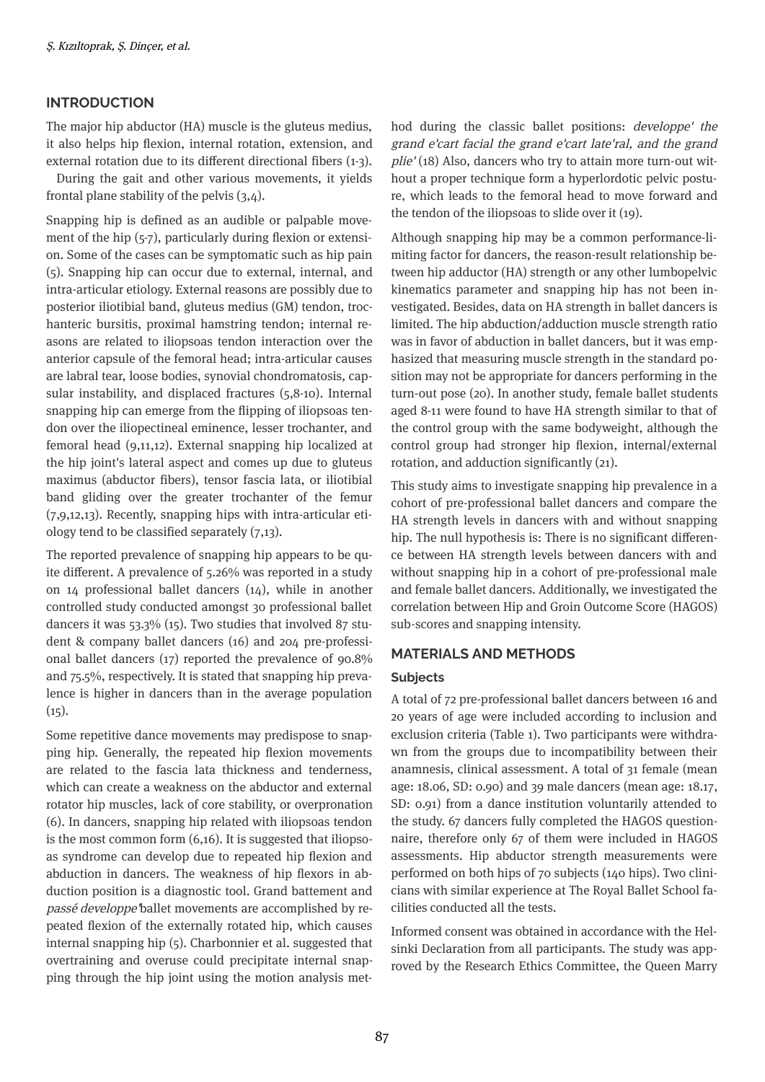## **INTRODUCTION**

The major hip abductor (HA) muscle is the gluteus medius, it also helps hip flexion, internal rotation, extension, and external rotation due to its different directional fibers (1-3).

During the gait and other various movements, it yields frontal plane stability of the pelvis  $(3,4)$ .

Snapping hip is defined as an audible or palpable movement of the hip  $(5-7)$ , particularly during flexion or extension. Some of the cases can be symptomatic such as hip pain (5). Snapping hip can occur due to external, internal, and intra-articular etiology. External reasons are possibly due to posterior iliotibial band, gluteus medius (GM) tendon, trochanteric bursitis, proximal hamstring tendon; internal reasons are related to iliopsoas tendon interaction over the anterior capsule of the femoral head; intra-articular causes are labral tear, loose bodies, synovial chondromatosis, capsular instability, and displaced fractures  $(5,8-10)$ . Internal snapping hip can emerge from the flipping of iliopsoas tendon over the iliopectineal eminence, lesser trochanter, and femoral head  $(9,11,12)$ . External snapping hip localized at the hip joint's lateral aspect and comes up due to gluteus maximus (abductor fibers), tensor fascia lata, or iliotibial band gliding over the greater trochanter of the femur  $(7,9,12,13)$ . Recently, snapping hips with intra-articular etiology tend to be classified separately  $(7,13)$ .

The reported prevalence of snapping hip appears to be quite different. A prevalence of  $5.26\%$  was reported in a study on 14 professional ballet dancers  $(14)$ , while in another controlled study conducted amongst 30 professional ballet dancers it was  $53.3\%$  (15). Two studies that involved 87 student & company ballet dancers (16) and 204 pre-profess onal ballet dancers (17) reported the prevalence of 90.8% and  $75.5\%$ , respectively. It is stated that snapping hip prevalence is higher in dancers than in the average population  $(15)$ .

Some repetitive dance movements may predispose to snapping hip. Generally, the repeated hip flexion movements are related to the fascia lata thickness and tenderness, which can create a weakness on the abductor and external rotator hip muscles, lack of core stability, or overpronation  $(6)$ . In dancers, snapping hip related with iliopsoas tendon is the most common form  $(6,16)$ . It is suggested that iliopsoas syndrome can develop due to repeated hip flexion and abduction in dancers. The weakness of hip flexors in abduction position is a diagnostic tool. Grand battement and passé developpe'ballet movements are accomplshed by repeated flexion of the externally rotated hip, which causes internal snapping hip  $(5)$ . Charbonnier et al. suggested that overtraining and overuse could precipitate internal snapping through the hip joint using the motion analysis method during the classic ballet positions: *developpe' the* grand e'cart facial the grand e'cart late'ral, and the grand  $pile' (18)$  Also, dancers who try to attain more turn-out without a proper technique form a hyperlordotic pelvic posture, which leads to the femoral head to move forward and the tendon of the iliopsoas to slide over it  $(19)$ .

Although snapping hip may be a common performance-limiting factor for dancers, the reason-result relationship between hip adductor (HA) strength or any other lumbopelvic kinematics parameter and snapping hip has not been investigated. Besides, data on HA strength in ballet dancers is limited. The hip abduction/adduction muscle strength ratio was in favor of abduction in ballet dancers, but it was emphasized that measuring muscle strength in the standard position may not be appropriate for dancers performing in the turn-out pose (20). In another study, female ballet students aged 8-11 were found to have HA strength similar to that of the control group wth the same bodyweght, although the control group had stronger hip flexion, internal/external rotation, and adduction significantly (21).

This study aims to investigate snapping hip prevalence in a cohort of pre-professonal ballet dancers and compare the HA strength levels in dancers with and without snapping hip. The null hypothesis is: There is no significant difference between HA strength levels between dancers wth and without snapping hip in a cohort of pre-professional male and female ballet dancers. Additionally, we investigated the correlation between Hip and Groin Outcome Score (HAGOS) sub-scores and snapping intensity.

## **MATERIALS AND METHODS**

### **Subjects**

A total of 72 pre-professonal ballet dancers between 16 and 20 years of age were included according to inclusion and exclusion criteria (Table 1). Two participants were withdrawn from the groups due to incompatibility between their anamnesis, clinical assessment. A total of 31 female (mean age: 18.06, SD: 0.90) and 39 male dancers (mean age: 18.17, SD: 0.91) from a dance institution voluntarily attended to the study. 67 dancers fully completed the HAGOS questionnaire, therefore only 67 of them were included in HAGOS assessments. Hip abductor strength measurements were performed on both hips of  $70$  subjects ( $140$  hips). Two clinicians with similar experience at The Royal Ballet School facilities conducted all the tests.

Informed consent was obtained in accordance with the Helsinki Declaration from all participants. The study was approved by the Research Ethics Committee, the Queen Marry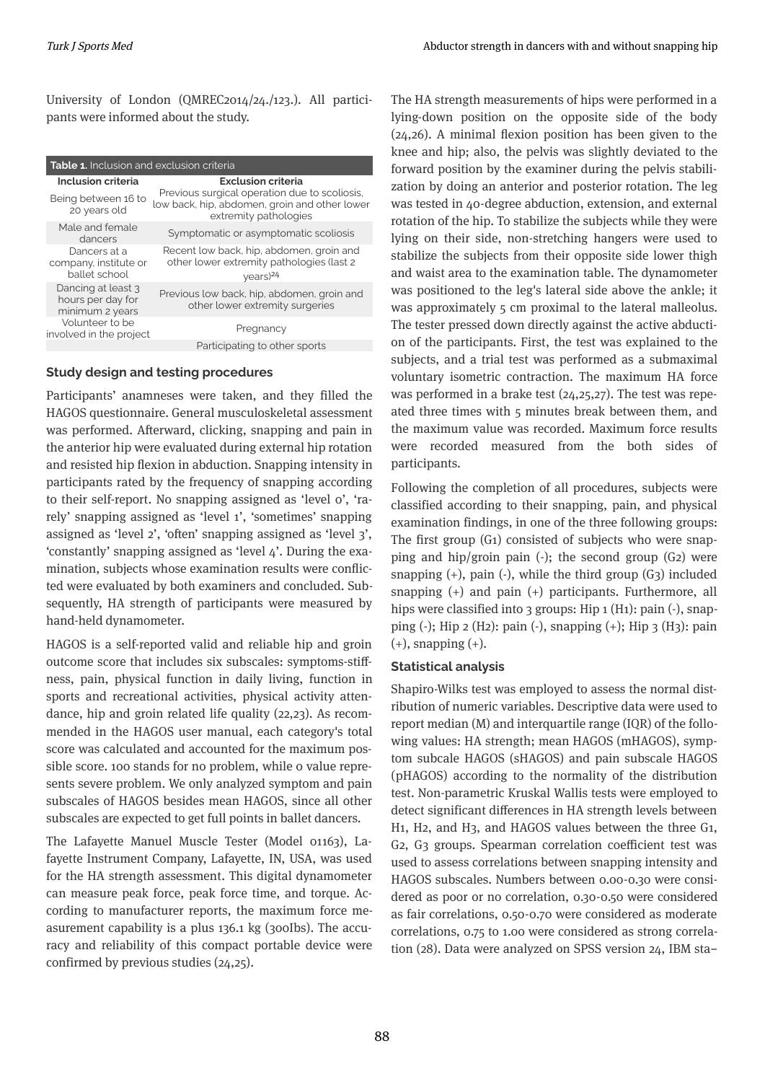University of London (QMREC2014/24./123.). All participants were informed about the study.

| <b>Table 1.</b> Inclusion and exclusion criteria           |                                                                                                                         |  |  |
|------------------------------------------------------------|-------------------------------------------------------------------------------------------------------------------------|--|--|
| Inclusion criteria                                         | <b>Exclusion criteria</b>                                                                                               |  |  |
| Being between 16 to<br>20 years old                        | Previous surgical operation due to scoliosis,<br>low back, hip, abdomen, groin and other lower<br>extremity pathologies |  |  |
| Male and female<br>dancers                                 | Symptomatic or asymptomatic scoliosis                                                                                   |  |  |
| Dancers at a<br>company, institute or<br>ballet school     | Recent low back, hip, abdomen, groin and<br>other lower extremity pathologies (last 2<br>$\gamma$ ears) <sup>24</sup>   |  |  |
| Dancing at least 3<br>hours per day for<br>minimum 2 years | Previous low back, hip, abdomen, groin and<br>other lower extremity surgeries                                           |  |  |
| Volunteer to be<br>involved in the project                 | Pregnancy                                                                                                               |  |  |
|                                                            | Participating to other sports                                                                                           |  |  |

## **Study desgn and testng procedures**

Participants' anamneses were taken, and they filled the HAGOS questionnaire. General musculoskeletal assessment was performed. Afterward, clicking, snapping and pain in the anterior hip were evaluated during external hip rotation and resisted hip flexion in abduction. Snapping intensity in participants rated by the frequency of snapping according to their self-report. No snapping assigned as 'level o', 'rarely' snapping assigned as 'level 1', 'sometimes' snapping assigned as 'level 2', 'often' snapping assigned as 'level 3', 'constantly' snapping assigned as 'level  $4$ '. During the examination, subjects whose examination results were conflicted were evaluated by both examiners and concluded. Subsequently, HA strength of participants were measured by hand-held dynamometer.

HAGOS is a self-reported valid and reliable hip and groin outcome score that includes six subscales: symptoms-stiffness, pain, physical function in daily living, function in sports and recreational activities, physical activity attendance, hip and groin related life quality (22,23). As recommended in the HAGOS user manual, each category's total score was calculated and accounted for the maximum possible score. 100 stands for no problem, while 0 value represents severe problem. We only analyzed symptom and pain subscales of HAGOS besides mean HAGOS, since all other subscales are expected to get full points in ballet dancers.

The Lafayette Manuel Muscle Tester (Model 01163), Lafayette Instrument Company, Lafayette, IN, USA, was used for the HA strength assessment. This digital dynamometer can measure peak force, peak force tme, and torque. According to manufacturer reports, the maximum force measurement capability is a plus  $136.1$  kg (300Ibs). The accuracy and reliability of this compact portable device were confirmed by previous studies  $(24,25)$ .

The HA strength measurements of hips were performed in a lying-down position on the opposite side of the body  $(24,26)$ . A minimal flexion position has been given to the knee and hip; also, the pelvis was slightly deviated to the forward position by the examiner during the pelvis stabilization by doing an anterior and posterior rotation. The leg was tested in 40-degree abduction, extension, and external rotation of the hip. To stabilize the subjects while they were lying on their side, non-stretching hangers were used to stabilize the subjects from their opposite side lower thigh and waist area to the examination table. The dynamometer was positioned to the leg's lateral side above the ankle; it was approximately 5 cm proximal to the lateral malleolus. The tester pressed down directly against the active abduction of the participants. First, the test was explained to the subjects, and a trial test was performed as a submaximal voluntary isometric contraction. The maximum HA force was performed in a brake test  $(24,25,27)$ . The test was repeated three times with  $5$  minutes break between them, and the maximum value was recorded. Maximum force results were recorded measured from the both sides of participants.

Following the completion of all procedures, subjects were classified according to their snapping, pain, and physical examination findings, in one of the three following groups: The first group  $(G_1)$  consisted of subjects who were snapping and hip/groin pain  $(\cdot)$ ; the second group  $(G_2)$  were snapping  $(+)$ , pain  $(-)$ , while the third group  $(G_3)$  included snapping  $(+)$  and pain  $(+)$  participants. Furthermore, all hips were classified into 3 groups: Hip  $1(H_1)$ : pain  $\cdot$ ), snapping (-); Hip 2 (H2): pain (-), snapping (+); Hip 3 (H3): pain  $(+)$ , snapping  $(+)$ .

## **Statistical analysis**

Shapiro-Wilks test was employed to assess the normal distribution of numeric variables. Descriptive data were used to report median  $(M)$  and interquartile range  $(IQR)$  of the following values: HA strength; mean HAGOS (mHAGOS), symptom subcale HAGOS (sHAGOS) and pain subscale HAGOS (pHAGOS) according to the normality of the distribution test. Non-parametric Kruskal Wallis tests were employed to detect significant differences in HA strength levels between H1, H2, and H3, and HAGOS values between the three G1, G2, G3 groups. Spearman correlation coefficient test was used to assess correlations between snapping intensity and HAGOS subscales. Numbers between 0.00-0.30 were considered as poor or no correlation, 0.30-0.50 were considered as fair correlations, 0.50-0.70 were considered as moderate correlations, 0.75 to 1.00 were considered as strong correlation (28). Data were analyzed on SPSS version 24, IBM sta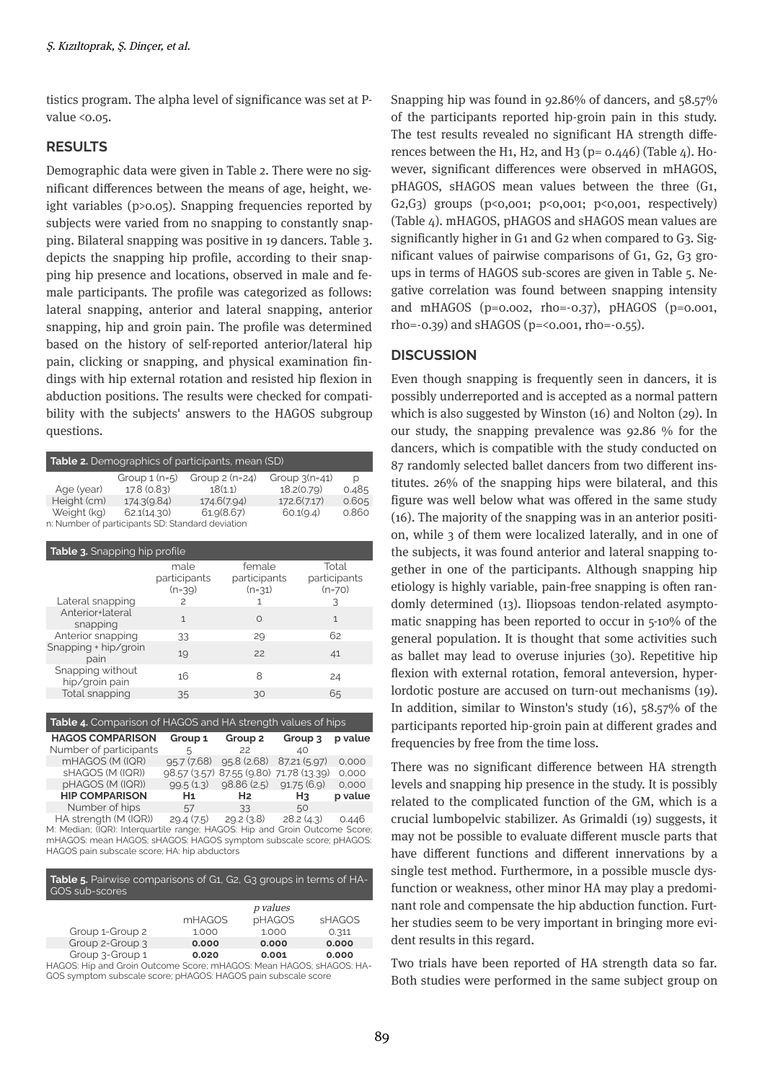tistics program. The alpha level of significance was set at Pvalue <0.05.

## **RESULTS**

Demographic data were given in Table 2. There were no significant differences between the means of age, height, weight variables ( $p>0.05$ ). Snapping frequencies reported by subjects were varied from no snapping to constantly snapping. Bilateral snapping was positive in 19 dancers. Table 3. depicts the snapping hip profile, according to their snapping hip presence and locations, observed in male and female participants. The profile was categorized as follows: lateral snapping, anterior and lateral snapping, anterior snapping, hip and groin pain. The profile was determined based on the history of self-reported anterior/lateral hip pain, clicking or snapping, and physical examination findings with hip external rotation and resisted hip flexion in abduction positions. The results were checked for compatibility with the subjects' answers to the HAGOS subgroup questions.

| <b>Table 2.</b> Demographics of participants, mean (SD) |                |                      |                 |       |
|---------------------------------------------------------|----------------|----------------------|-----------------|-------|
|                                                         | Group $1(n=5)$ | Group $2$ (n= $24$ ) | Group $3(n=41)$ | Ŋ     |
| Age (year)                                              | 17.8 (0.83)    | 18(1.1)              | 18.2(0.79)      | 0.485 |
| Height (cm)                                             | 174.3(9.84)    | 174.6(7.94)          | 172.6(7.17)     | 0.605 |
| Weight (kg)                                             | 62.1(14.30)    | 61.9(8.67)           | 60.1(9.4)       | 0.860 |
| n: Number of participants SD: Standard deviation        |                |                      |                 |       |

| <b>Table 3.</b> Snapping hip profile |                                  |                                    |                                   |  |
|--------------------------------------|----------------------------------|------------------------------------|-----------------------------------|--|
|                                      | male<br>participants<br>$(n=39)$ | female<br>participants<br>$(n=31)$ | Total<br>participants<br>$(n=70)$ |  |
| Lateral snapping<br>Anterior+lateral | $\mathcal{P}$                    |                                    | 3                                 |  |
| snapping                             | 1                                | $\Omega$                           | $\mathbf{1}$                      |  |
| Anterior snapping                    | 33                               | 29                                 | 62                                |  |
| Snapping + hip/groin<br>pain         | 19                               | 22                                 | 41                                |  |
| Snapping without<br>hip/groin pain   | 16                               | 8                                  | 24                                |  |
| Total snapping                       | 35                               | 30                                 | 65                                |  |

| Table 4. Comparison of HAGOS and HA strength values of hips |                |                    |                                         |         |
|-------------------------------------------------------------|----------------|--------------------|-----------------------------------------|---------|
| <b>HAGOS COMPARISON</b>                                     | Group 1        | Group <sub>2</sub> | Group 3                                 | p value |
| Number of participants                                      | 5              | 22                 | 40                                      |         |
| mHAGOS (M (IQR)                                             | 95.7(7.68)     | 95.8(2.68)         | 87.21 (5.97)                            | 0.000   |
| sHAGOS (M (IQR))                                            |                |                    | 98.57 (3.57) 87.55 (9.80) 71.78 (13.39) | 0.000   |
| pHAGOS (M (IQR))                                            | 99.5(1.3)      | 98.86(2.5)         | 91.75(6.9)                              | 0.000   |
| <b>HIP COMPARISON</b>                                       | H <sub>1</sub> | H <sub>2</sub>     | H <sub>3</sub>                          | p value |
| Number of hips                                              | 57             | 33                 | 50                                      |         |
| HA strength (M (IQR))                                       | 29.4 (7.5)     | 29.2(3.8)          | 28.2(4.3)                               | 0.446   |

M: Median; (IQR): Interquartile range; HAGOS: Hip and Groin Outcome Score; mHAGOS: mean HAGOS; sHAGOS: HAGOS symptom subscale score; pHAGOS: HAGOS pain subscale score; HA: hip abductors

| <b>Table 5.</b> Pairwise comparisons of G1, G2, G3 groups in terms of HA-<br>GOS sub-scores |               |          |               |
|---------------------------------------------------------------------------------------------|---------------|----------|---------------|
|                                                                                             |               | p values |               |
|                                                                                             | <b>mHAGOS</b> | pHAGOS   | <b>SHAGOS</b> |
| Group 1-Group 2                                                                             | 1.000         | 1.000    | 0.311         |
| Group 2-Group 3                                                                             | 0.000         | 0.000    | 0.000         |
| Group 3-Group 1                                                                             | 0.020         | 0.001    | 0.000         |
| HAGOS: Hip and Groin Outcome Score; mHAGOS: Mean HAGOS; sHAGOS: HA-                         |               |          |               |

GOS symptom subscale score; pHAGOS: HAGOS pain subscale score

Snapping hip was found in 92.86% of dancers, and  $58.57%$ of the participants reported hip-groin pain in this study. The test results revealed no significant HA strength differences between the H<sub>1</sub>, H<sub>2</sub>, and H<sub>3</sub> ( $p= 0.446$ ) (Table  $4$ ). H<sub>0</sub>wever, significant differences were observed in mHAGOS, pHAGOS, sHAGOS mean values between the three (G1, G2,G3) groups (p<0,001; p<0,001; p<0,001, respectively) (Table 4). mHAGOS, pHAGOS and sHAGOS mean values are significantly higher in  $G_1$  and  $G_2$  when compared to  $G_3$ . Significant values of pairwise comparisons of  $G_1$ ,  $G_2$ ,  $G_3$  groups in terms of HAGOS sub-scores are given in Table 5. Negative correlation was found between snapping intensity and mHAGOS (p=0.002, rho=-0.37), pHAGOS (p=0.001, rho=-0.39) and sHAGOS (p=<0.001, rho=-0.55).

## **DISCUSSION**

Even though snapping is frequently seen in dancers, it is possibly underreported and is accepted as a normal pattern which is also suggested by Winston  $(16)$  and Nolton  $(29)$ . In our study, the snapping prevalence was  $92.86\%$  for the dancers, which is compatible with the study conducted on 87 randomly selected ballet dancers from two different institutes.  $26\%$  of the snapping hips were bilateral, and this figure was well below what was offered in the same study  $(16)$ . The majority of the snapping was in an anterior position, while 3 of them were localized laterally, and in one of the subjects, it was found anterior and lateral snapping together in one of the participants. Although snapping hip etiology is highly variable, pain-free snapping is often randomly determined (13). Iliopsoas tendon-related asymptomatic snapping has been reported to occur in  $5\n-10\%$  of the general population. It is thought that some activities such as ballet may lead to overuse injuries  $(30)$ . Repetitive hip flexion with external rotation, femoral anteversion, hyperlordotic posture are accused on turn-out mechanisms (19). In addition, similar to Winston's study  $(16)$ , 58.57% of the participants reported hip-groin pain at different grades and frequencies by free from the time loss.

There was no significant difference between HA strength levels and snapping hip presence in the study. It is possibly related to the complicated function of the GM, which is a crucial lumbopelvic stabilizer. As Grimaldi (19) suggests, it may not be possible to evaluate different muscle parts that have different functions and different innervations by a single test method. Furthermore, in a possible muscle dysfunction or weakness, other minor HA may play a predominant role and compensate the hip abduction function. Further studies seem to be very important in bringing more evident results in this regard.

Two trials have been reported of HA strength data so far. Both studies were performed in the same subject group on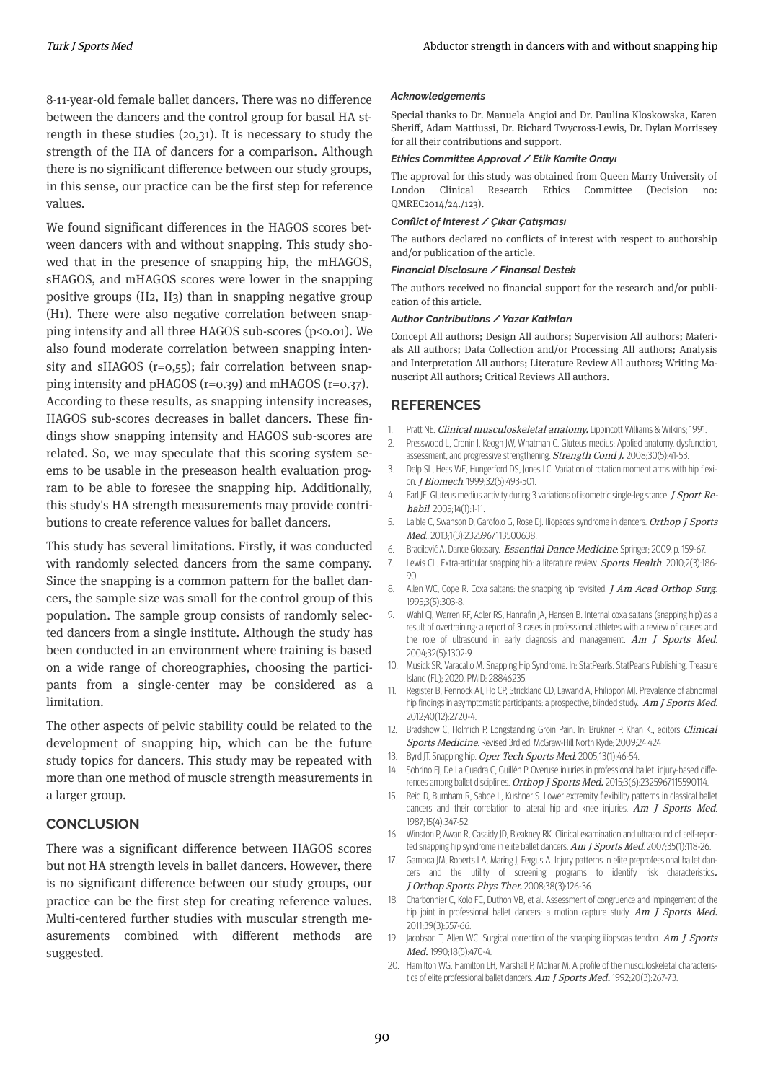8-11-year-old female ballet dancers. There was no difference between the dancers and the control group for basal HA strength in these studies  $(20,31)$ . It is necessary to study the strength of the HA of dancers for a comparison. Although there is no significant difference between our study groups, in this sense, our practice can be the first step for reference values.

We found significant differences in the HAGOS scores between dancers with and without snapping. This study showed that in the presence of snapping hip, the mHAGOS, sHAGOS, and mHAGOS scores were lower in the snapping positive groups (H2, H3) than in snapping negative group (H1). There were also negative correlation between snapping intensity and all three HAGOS sub-scores ( $p \le 0.01$ ). We also found moderate correlation between snapping intensity and sHAGOS ( $r=0,55$ ); fair correlation between snapping intensity and pHAGOS ( $r=0.39$ ) and mHAGOS ( $r=0.37$ ). According to these results, as snapping intensity increases, HAGOS sub-scores decreases in ballet dancers. These findings show snapping intensity and HAGOS sub-scores are related. So, we may speculate that this scoring system seems to be usable in the preseason health evaluation program to be able to foresee the snapping hip. Additionally, this study's HA strength measurements may provide contributions to create reference values for ballet dancers.

This study has several limitations. Firstly, it was conducted with randomly selected dancers from the same company. Since the snapping is a common pattern for the ballet dancers, the sample size was small for the control group of this population. The sample group consists of randomly selected dancers from a single institute. Although the study has been conducted in an environment where training is based on a wide range of choreographies, choosing the participants from a single-center may be considered as a limitation.

The other aspects of pelvic stability could be related to the development of snapping hip, which can be the future study topics for dancers. This study may be repeated with more than one method of muscle strength measurements in a larger group.

## **CONCLUSION**

There was a significant difference between HAGOS scores but not HA strength levels in ballet dancers. However, there is no significant difference between our study groups, our practice can be the first step for creating reference values. Multi-centered further studies with muscular strength measurements combined with different methods are suggested.

#### *Acknowledgements*

Special thanks to Dr. Manuela Angioi and Dr. Paulina Kloskowska, Karen Sheriff, Adam Mattiussi, Dr. Richard Twycross-Lewis, Dr. Dylan Morrissey for all their contributions and support.

#### *Ethics Committee Approval / Etik Komite Onayı*

The approval for this study was obtained from Queen Marry University of London Clinical Research Ethics Committee (Decision no: QMREC2014/24./123).

#### *Conct of Interest / Çıkar Çatışması*

The authors declared no conflicts of interest with respect to authorship and/or publication of the article.

#### *Fnancal Dsclosure / Fnansal Destek*

The authors received no financial support for the research and/or publication of this article.

#### *Author Contrbutons / Yazar Katkıları*

Concept All authors; Design All authors; Supervision All authors; Materials All authors; Data Collection and/or Processing All authors; Analysis and Interpretation All authors; Literature Review All authors; Writing Manuscript All authors; Critical Reviews All authors.

### **REFERENCES**

- Pratt NE. Clinical musculoskeletal anatomy. Lippincott Williams & Wilkins; 1991. 1.
- Presswood L, Cronin J, Keogh JW, Whatman C. Gluteus medius: Applied anatomy, dysfunction, assessment, and progressive strengthening. Strength Cond J. 2008;30(5):41-53. 2.
- Delp SL, Hess WE, Hungerford DS, Jones LC. Variation of rotation moment arms with hip flexion. *J Biomech*. 1999;32(5):493-501. 3.
- Earl JE. Gluteus medius activity during 3 variations of isometric single-leg stance. J Sport Rehabil. 2005:14(1):1-11. 4.
- Laible C, Swanson D, Garofolo G, Rose DJ. Iliopsoas syndrome in dancers. Orthop J Sports Med.. 2013;1(3):2325967113500638. 5.
- Bracilović A. Dance Glossary. Essential Dance Medicine: Springer; 2009. p. 159-67. 6.
- Lewis CL. Extra-articular snapping hip: a literature review. Sports Health. 2010;2(3):186-90. 7.
- Allen WC, Cope R. Coxa saltans: the snapping hip revisited.  $JAm$   $Acad$   $Orthop$   $Surg$ . 1995;3(5):303-8. 8.
- Wahl CJ, Warren RF, Adler RS, Hannafin JA, Hansen B. Internal coxa saltans (snapping hip) as a result of overtraining: a report of 3 cases in professional athletes with a review of causes and the role of ultrasound in early diagnosis and management.  $Am$  J Sports Med. 2004;32(5):1302-9. 9.
- Musick SR, Varacallo M. Snapping Hip Syndrome. In: StatPearls. StatPearls Publishing, Treasure Island (FL); 2020. PMID: 28846235. 10.
- Register B, Pennock AT, Ho CP, Strickland CD, Lawand A, Philippon MJ. Prevalence of abnormal hip findings in asymptomatic participants: a prospective, blinded study. Am J Sports Med. 2012;40(12):2720-4. 11.
- Bradshow C, Holmich P. Longstanding Groin Pain. In: Brukner P. Khan K., editors Clinical Sports Medicine. Revised 3rd ed. McGraw-Hill North Ryde; 2009;24:424 12.
- Byrd JT. Snapping hip. Oper Tech Sports Med. 2005;13(1):46-54. 13.
- Sobrino FJ, De La Cuadra C, Guillén P. Overuse injuries in professional ballet: injury-based differences among ballet disciplines. Orthop J Sports Med. 2015;3(6):2325967115590114. 14.
- 15. Reid D, Burnham R, Saboe L, Kushner S. Lower extremity flexibility patterns in classical ballet dancers and their correlation to lateral hip and knee injuries.  $Am$  J Sports Med. 1987;15(4):347-52.
- Winston P, Awan R, Cassidy JD, Bleakney RK. Clinical examination and ultrasound of self-reported snapping hip syndrome in elite ballet dancers. Am J Sports Med. 2007;35(1):118-26. 16.
- Gamboa JM, Roberts LA, Maring J, Fergus A. Injury patterns in elite preprofessional ballet dancers and the utility of screening programs to identify risk characteristics. J Orthop Sports Phys Ther. 2008;38(3):126-36. 17.
- Charbonnier C, Kolo FC, Duthon VB, et al. Assessment of congruence and impingement of the hip joint in professional ballet dancers: a motion capture study.  $Am$  J Sports Med. 2011;39(3):557-66. 18.
- Jacobson T, Allen WC. Surgical correction of the snapping iliopsoas tendon.  $Am$  J Sports Med. 1990;18(5):470-4. 19.
- Hamlton WG, Hamlton LH, Marshall P, Molnar M. A profle of the musculoskeletal characterstics of elite professional ballet dancers. Am J Sports Med. 1992;20(3):267-73. 20.